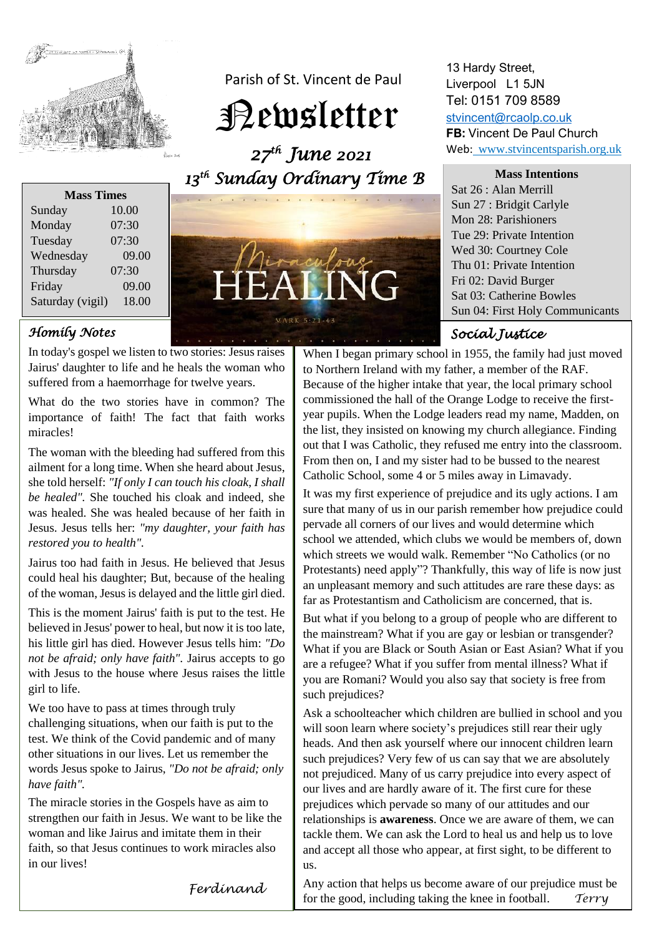

Parish of St. Vincent de Paul

Newsletter

 *27 th June 2021 13 th Sunday Ordinary Time B* 



## *Homily Notes*

In today's gospel we listen to two stories: Jesus raises Jairus' daughter to life and he heals the woman who suffered from a haemorrhage for twelve years.

What do the two stories have in common? The importance of faith! The fact that faith works miracles!

The woman with the bleeding had suffered from this ailment for a long time. When she heard about Jesus, she told herself: *"If only I can touch his cloak, I shall be healed".* She touched his cloak and indeed, she was healed. She was healed because of her faith in Jesus. Jesus tells her: *"my daughter, your faith has restored you to health".*

Jairus too had faith in Jesus. He believed that Jesus could heal his daughter; But, because of the healing of the woman, Jesus is delayed and the little girl died.

This is the moment Jairus' faith is put to the test. He believed in Jesus' power to heal, but now it is too late, his little girl has died. However Jesus tells him: *"Do not be afraid; only have faith".* Jairus accepts to go with Jesus to the house where Jesus raises the little girl to life.

We too have to pass at times through truly challenging situations, when our faith is put to the test. We think of the Covid pandemic and of many other situations in our lives. Let us remember the words Jesus spoke to Jairus, *"Do not be afraid; only have faith".* 

The miracle stories in the Gospels have as aim to strengthen our faith in Jesus. We want to be like the woman and like Jairus and imitate them in their faith, so that Jesus continues to work miracles also in our lives!

 **THE** NG

MARK 5:21-43

13 Hardy Street, Liverpool L1 5JN Tel: 0151 709 8589 [stvincent@rcaolp.co.uk](mailto:stvincent@rcaolp.co.uk)

**FB:** Vincent De Paul Church Web: www.stvincentsparish.org.uk

**Mass Intentions** Sat 26 : Alan Merrill Sun 27 : Bridgit Carlyle Mon 28: Parishioners Tue 29: Private Intention Wed 30: Courtney Cole Thu 01: Private Intention Fri 02: David Burger Sat 03: Catherine Bowles Sun 04: First Holy Communicants

# *Social Justice*

When I began primary school in 1955, the family had just moved to Northern Ireland with my father, a member of the RAF. Because of the higher intake that year, the local primary school commissioned the hall of the Orange Lodge to receive the firstyear pupils. When the Lodge leaders read my name, Madden, on the list, they insisted on knowing my church allegiance. Finding out that I was Catholic, they refused me entry into the classroom. From then on, I and my sister had to be bussed to the nearest Catholic School, some 4 or 5 miles away in Limavady.

It was my first experience of prejudice and its ugly actions. I am sure that many of us in our parish remember how prejudice could pervade all corners of our lives and would determine which school we attended, which clubs we would be members of, down which streets we would walk. Remember "No Catholics (or no Protestants) need apply"? Thankfully, this way of life is now just an unpleasant memory and such attitudes are rare these days: as far as Protestantism and Catholicism are concerned, that is.

But what if you belong to a group of people who are different to the mainstream? What if you are gay or lesbian or transgender? What if you are Black or South Asian or East Asian? What if you are a refugee? What if you suffer from mental illness? What if you are Romani? Would you also say that society is free from such prejudices?

Ask a schoolteacher which children are bullied in school and you will soon learn where society's prejudices still rear their ugly heads. And then ask yourself where our innocent children learn such prejudices? Very few of us can say that we are absolutely not prejudiced. Many of us carry prejudice into every aspect of our lives and are hardly aware of it. The first cure for these prejudices which pervade so many of our attitudes and our relationships is **awareness**. Once we are aware of them, we can tackle them. We can ask the Lord to heal us and help us to love and accept all those who appear, at first sight, to be different to us.

*Ferdinand*

Any action that helps us become aware of our prejudice must be for the good, including taking the knee in football. *Terry*